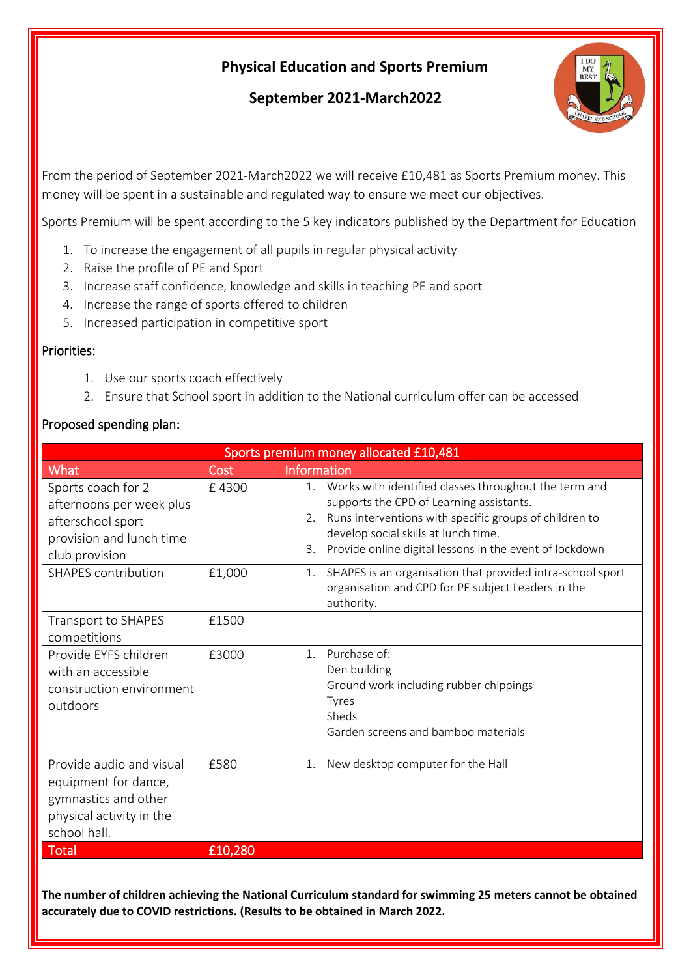## **Physical Education and Sports Premium**

## **September 2021-March2022**



From the period of September 2021-March2022 we will receive £10,481 as Sports Premium money. This money will be spent in a sustainable and regulated way to ensure we meet our objectives.

Sports Premium will be spent according to the 5 key indicators published by the Department for Education

- 1. To increase the engagement of all pupils in regular physical activity
- 2. Raise the profile of PE and Sport
- 3. Increase staff confidence, knowledge and skills in teaching PE and sport
- 4. Increase the range of sports offered to children
- 5. Increased participation in competitive sport

## Priorities:

- 1. Use our sports coach effectively
- 2. Ensure that School sport in addition to the National curriculum offer can be accessed

## Proposed spending plan:

| Sports premium money allocated £10,481                                                                               |         |                                                                                                                                                                                                                                                                            |  |
|----------------------------------------------------------------------------------------------------------------------|---------|----------------------------------------------------------------------------------------------------------------------------------------------------------------------------------------------------------------------------------------------------------------------------|--|
| <b>What</b>                                                                                                          | Cost    | Information                                                                                                                                                                                                                                                                |  |
| Sports coach for 2<br>afternoons per week plus<br>afterschool sport<br>provision and lunch time<br>club provision    | £4300   | 1. Works with identified classes throughout the term and<br>supports the CPD of Learning assistants.<br>2. Runs interventions with specific groups of children to<br>develop social skills at lunch time.<br>Provide online digital lessons in the event of lockdown<br>3. |  |
| <b>SHAPES</b> contribution                                                                                           | £1,000  | SHAPES is an organisation that provided intra-school sport<br>1.<br>organisation and CPD for PE subject Leaders in the<br>authority.                                                                                                                                       |  |
| Transport to SHAPES<br>competitions                                                                                  | £1500   |                                                                                                                                                                                                                                                                            |  |
| Provide EYFS children<br>with an accessible<br>construction environment<br>outdoors                                  | £3000   | Purchase of:<br>1 <sub>1</sub><br>Den building<br>Ground work including rubber chippings<br><b>Tyres</b><br>Sheds<br>Garden screens and bamboo materials                                                                                                                   |  |
| Provide audio and visual<br>equipment for dance,<br>gymnastics and other<br>physical activity in the<br>school hall. | £580    | 1. New desktop computer for the Hall                                                                                                                                                                                                                                       |  |
| <b>Total</b>                                                                                                         | £10,280 |                                                                                                                                                                                                                                                                            |  |

**The number of children achieving the National Curriculum standard for swimming 25 meters cannot be obtained accurately due to COVID restrictions. (Results to be obtained in March 2022.**